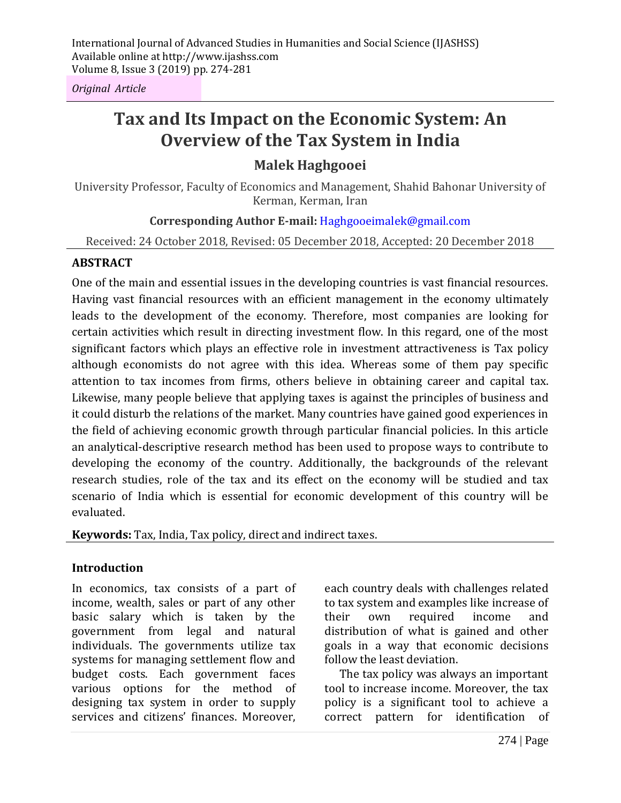*Original Article*

# **Tax and Its Impact on the Economic System: An Overview of the Tax System in India**

## **Malek Haghgooei**

University Professor, Faculty of Economics and Management, Shahid Bahonar University of Kerman, Kerman, Iran

## **Corresponding Author E-mail:** Haghgooeimalek@gmail.com

Received: 24 October 2018, Revised: 05 December 2018, Accepted: 20 December 2018

#### **ABSTRACT**

One of the main and essential issues in the developing countries is vast financial resources. Having vast financial resources with an efficient management in the economy ultimately leads to the development of the economy. Therefore, most companies are looking for certain activities which result in directing investment flow. In this regard, one of the most significant factors which plays an effective role in investment attractiveness is Tax policy although economists do not agree with this idea. Whereas some of them pay specific attention to tax incomes from firms, others believe in obtaining career and capital tax. Likewise, many people believe that applying taxes is against the principles of business and it could disturb the relations of the market. Many countries have gained good experiences in the field of achieving economic growth through particular financial policies. In this article an analytical-descriptive research method has been used to propose ways to contribute to developing the economy of the country. Additionally, the backgrounds of the relevant research studies, role of the tax and its effect on the economy will be studied and tax scenario of India which is essential for economic development of this country will be evaluated.

**Keywords:** Tax, India, Tax policy, direct and indirect taxes.

#### **Introduction**

In economics, tax consists of a part of income, wealth, sales or part of any other basic salary which is taken by the government from legal and natural individuals. The governments utilize tax systems for managing settlement flow and budget costs. Each government faces various options for the method of designing tax system in order to supply services and citizens' finances. Moreover, each country deals with challenges related to tax system and examples like increase of their own required income and distribution of what is gained and other goals in a way that economic decisions follow the least deviation.

The tax policy was always an important tool to increase income. Moreover, the tax policy is a significant tool to achieve a correct pattern for identification of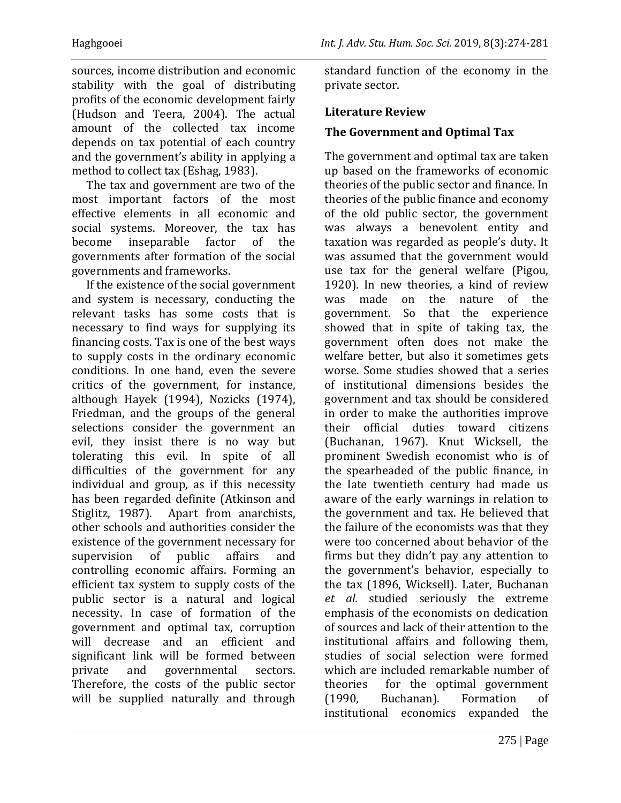sources, income distribution and economic stability with the goal of distributing profits of the economic development fairly (Hudson and Teera, 2004). The actual amount of the collected tax income depends on tax potential of each country and the government's ability in applying a method to collect tax (Eshag, 1983).

The tax and government are two of the most important factors of the most effective elements in all economic and social systems. Moreover, the tax has become inseparable factor of the governments after formation of the social governments and frameworks.

If the existence of the social government and system is necessary, conducting the relevant tasks has some costs that is necessary to find ways for supplying its financing costs. Tax is one of the best ways to supply costs in the ordinary economic conditions. In one hand, even the severe critics of the government, for instance, although Hayek (1994), Nozicks (1974), Friedman, and the groups of the general selections consider the government an evil, they insist there is no way but tolerating this evil. In spite of all difficulties of the government for any individual and group, as if this necessity has been regarded definite (Atkinson and Stiglitz, 1987). Apart from anarchists, other schools and authorities consider the existence of the government necessary for supervision of public affairs and controlling economic affairs. Forming an efficient tax system to supply costs of the public sector is a natural and logical necessity. In case of formation of the government and optimal tax, corruption will decrease and an efficient and significant link will be formed between private and governmental sectors. Therefore, the costs of the public sector will be supplied naturally and through

standard function of the economy in the private sector.

## **Literature Review**

## **The Government and Optimal Tax**

The government and optimal tax are taken up based on the frameworks of economic theories of the public sector and finance. In theories of the public finance and economy of the old public sector, the government was always a benevolent entity and taxation was regarded as people's duty. It was assumed that the government would use tax for the general welfare (Pigou, 1920). In new theories, a kind of review was made on the nature of the government. So that the experience showed that in spite of taking tax, the government often does not make the welfare better, but also it sometimes gets worse. Some studies showed that a series of institutional dimensions besides the government and tax should be considered in order to make the authorities improve their official duties toward citizens (Buchanan, 1967). Knut Wicksell, the prominent Swedish economist who is of the spearheaded of the public finance, in the late twentieth century had made us aware of the early warnings in relation to the government and tax. He believed that the failure of the economists was that they were too concerned about behavior of the firms but they didn't pay any attention to the government's behavior, especially to the tax (1896, Wicksell). Later, Buchanan *et al.* studied seriously the extreme emphasis of the economists on dedication of sources and lack of their attention to the institutional affairs and following them, studies of social selection were formed which are included remarkable number of theories for the optimal government (1990, Buchanan). Formation of institutional economics expanded the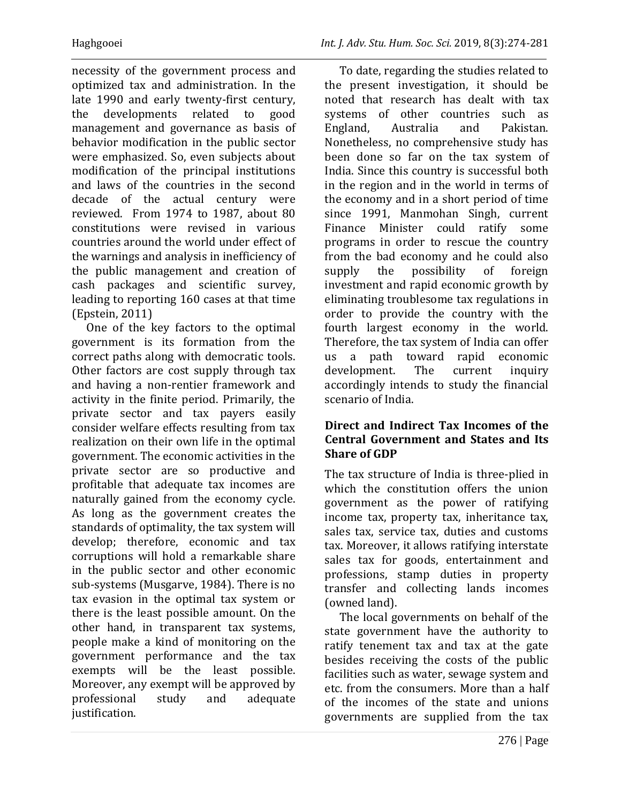necessity of the government process and optimized tax and administration. In the late 1990 and early twenty-first century, the developments related to good management and governance as basis of behavior modification in the public sector were emphasized. So, even subjects about modification of the principal institutions and laws of the countries in the second decade of the actual century were reviewed. From 1974 to 1987, about 80 constitutions were revised in various countries around the world under effect of the warnings and analysis in inefficiency of the public management and creation of cash packages and scientific survey, leading to reporting 160 cases at that time (Epstein, 2011)

One of the key factors to the optimal government is its formation from the correct paths along with democratic tools. Other factors are cost supply through tax and having a non-rentier framework and activity in the finite period. Primarily, the private sector and tax payers easily consider welfare effects resulting from tax realization on their own life in the optimal government. The economic activities in the private sector are so productive and profitable that adequate tax incomes are naturally gained from the economy cycle. As long as the government creates the standards of optimality, the tax system will develop; therefore, economic and tax corruptions will hold a remarkable share in the public sector and other economic sub-systems (Musgarve, 1984). There is no tax evasion in the optimal tax system or there is the least possible amount. On the other hand, in transparent tax systems, people make a kind of monitoring on the government performance and the tax exempts will be the least possible. Moreover, any exempt will be approved by professional study and adequate justification.

To date, regarding the studies related to the present investigation, it should be noted that research has dealt with tax systems of other countries such as England, Australia and Pakistan. Nonetheless, no comprehensive study has been done so far on the tax system of India. Since this country is successful both in the region and in the world in terms of the economy and in a short period of time since 1991, Manmohan Singh, current Finance Minister could ratify some programs in order to rescue the country from the bad economy and he could also supply the possibility of foreign investment and rapid economic growth by eliminating troublesome tax regulations in order to provide the country with the fourth largest economy in the world. Therefore, the tax system of India can offer us a path toward rapid economic development. The current inquiry accordingly intends to study the financial scenario of India.

## **Direct and Indirect Tax Incomes of the Central Government and States and Its Share of GDP**

The tax structure of India is three-plied in which the constitution offers the union government as the power of ratifying income tax, property tax, inheritance tax, sales tax, service tax, duties and customs tax. Moreover, it allows ratifying interstate sales tax for goods, entertainment and professions, stamp duties in property transfer and collecting lands incomes (owned land).

The local governments on behalf of the state government have the authority to ratify tenement tax and tax at the gate besides receiving the costs of the public facilities such as water, sewage system and etc. from the consumers. More than a half of the incomes of the state and unions governments are supplied from the tax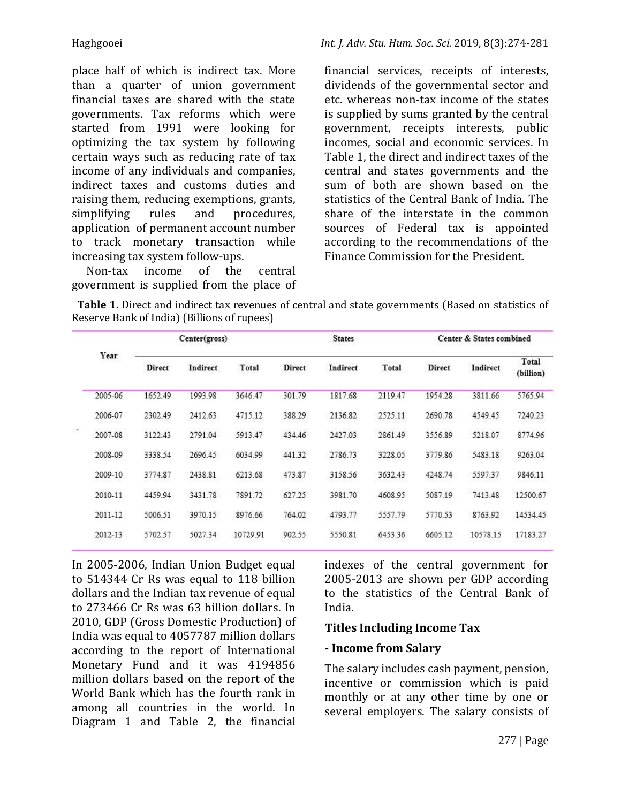place half of which is indirect tax. More than a quarter of union government financial taxes are shared with the state governments. Tax reforms which were started from 1991 were looking for optimizing the tax system by following certain ways such as reducing rate of tax income of any individuals and companies, indirect taxes and customs duties and raising them, reducing exemptions, grants, simplifying rules and procedures, application of permanent account number to track monetary transaction while increasing tax system follow-ups.

Non-tax income of the central government is supplied from the place of financial services, receipts of interests, dividends of the governmental sector and etc. whereas non-tax income of the states is supplied by sums granted by the central government, receipts interests, public incomes, social and economic services. In Table 1, the direct and indirect taxes of the central and states governments and the sum of both are shown based on the statistics of the Central Bank of India. The share of the interstate in the common sources of Federal tax is appointed according to the recommendations of the Finance Commission for the President.

 **Table 1.** Direct and indirect tax revenues of central and state governments (Based on statistics of Reserve Bank of India) (Billions of rupees)

|          |         | Center(gross) |          |          | <b>States</b> |          |         | Center & States combined |          |                    |
|----------|---------|---------------|----------|----------|---------------|----------|---------|--------------------------|----------|--------------------|
|          | Year    | Direct        | Indirect | Total    | Direct        | Indirect | Total   | <b>Direct</b>            | Indirect | Total<br>(billion) |
|          | 2005-06 | 1652.49       | 1993.98  | 3646.47  | 301.79        | 1817.68  | 2119.47 | 1954.28                  | 3811.66  | 5765.94            |
|          | 2006-07 | 2302.49       | 2412.63  | 4715.12  | 388.29        | 2136.82  | 2525.11 | 2690.78                  | 4549.45  | 7240.23            |
| $\alpha$ | 2007-08 | 3122.43       | 2791.04  | 5913.47  | 434.46        | 2427.03  | 2861.49 | 3556.89                  | 5218.07  | 8774.96            |
|          | 2008-09 | 3338.54       | 2696.45  | 6034.99  | 441.32        | 2786.73  | 3228.05 | 3779.86                  | 5483.18  | 9263.04            |
|          | 2009-10 | 3774.87       | 2438.81  | 6213.68  | 473.87        | 3158.56  | 3632.43 | 4248.74                  | 5597.37  | 9846.11            |
|          | 2010-11 | 4459.94       | 3431.78  | 7891.72  | 627.25        | 3981.70  | 4608.95 | 5087.19                  | 7413.48  | 12500.67           |
|          | 2011-12 | 5006.51       | 3970.15  | 8976.66  | 764.02        | 4793.77  | 5557.79 | 5770.53                  | 8763.92  | 14534.45           |
|          | 2012-13 | 5702.57       | 5027.34  | 10729.91 | 902.55        | 5550.81  | 6453.36 | 6605.12                  | 10578.15 | 17183.27           |

In 2005-2006, Indian Union Budget equal to 514344 Cr Rs was equal to 118 billion dollars and the Indian tax revenue of equal to 273466 Cr Rs was 63 billion dollars. In 2010, GDP (Gross Domestic Production) of India was equal to 4057787 million dollars according to the report of International Monetary Fund and it was 4194856 million dollars based on the report of the World Bank which has the fourth rank in among all countries in the world. In Diagram 1 and Table 2, the financial indexes of the central government for 2005-2013 are shown per GDP according to the statistics of the Central Bank of India.

#### **Titles Including Income Tax**

#### **- Income from Salary**

The salary includes cash payment, pension, incentive or commission which is paid monthly or at any other time by one or several employers. The salary consists of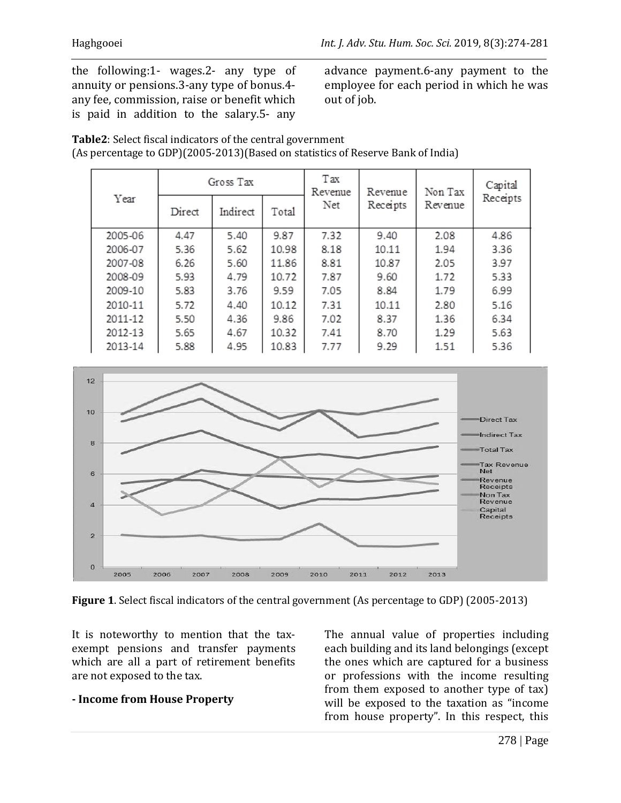the following:1- wages.2- any type of annuity or pensions.3-any type of bonus.4 any fee, commission, raise or benefit which is paid in addition to the salary.5- any advance payment.6-any payment to the employee for each period in which he was out of job.

**Table2**: Select fiscal indicators of the central government (As percentage to GDP)(2005-2013)(Based on statistics of Reserve Bank of India)

|         |        | Gross Tax |       | Tax<br>Revenue | Revenue<br>Receipts | Non Tax<br>Revenue | Capital  |
|---------|--------|-----------|-------|----------------|---------------------|--------------------|----------|
| Year    | Direct | Indirect  | Total | Net            |                     |                    | Receipts |
| 2005-06 | 4.47   | 5.40      | 9.87  | 7.32           | 9.40                | 2.08               | 4.86     |
| 2006-07 | 5.36   | 5.62      | 10.98 | 8.18           | 10.11               | 1.94               | 3.36     |
| 2007-08 | 6.26   | 5.60      | 11.86 | 8.81           | 10.87               | 2.05               | 3.97     |
| 2008-09 | 5.93   | 4.79      | 10.72 | 7.87           | 9.60                | 1.72               | 5.33     |
| 2009-10 | 5.83   | 3.76      | 9.59  | 7.05           | 8.84                | 1.79               | 6.99     |
| 2010-11 | 5.72   | 4.40      | 10.12 | 7.31           | 10.11               | 2.80               | 5.16     |
| 2011-12 | 5.50   | 4.36      | 9.86  | 7.02           | 8.37                | 1.36               | 6.34     |
| 2012-13 | 5.65   | 4.67      | 10.32 | 7.41           | 8.70                | 1.29               | 5.63     |
| 2013-14 | 5.88   | 4.95      | 10.83 | 7.77           | 9.29                | 1.51               | 5.36     |



**Figure 1**. Select fiscal indicators of the central government (As percentage to GDP) (2005-2013)

It is noteworthy to mention that the taxexempt pensions and transfer payments which are all a part of retirement benefits are not exposed to the tax.

**- Income from House Property**

The annual value of properties including each building and its land belongings (except the ones which are captured for a business or professions with the income resulting from them exposed to another type of tax) will be exposed to the taxation as "income from house property". In this respect, this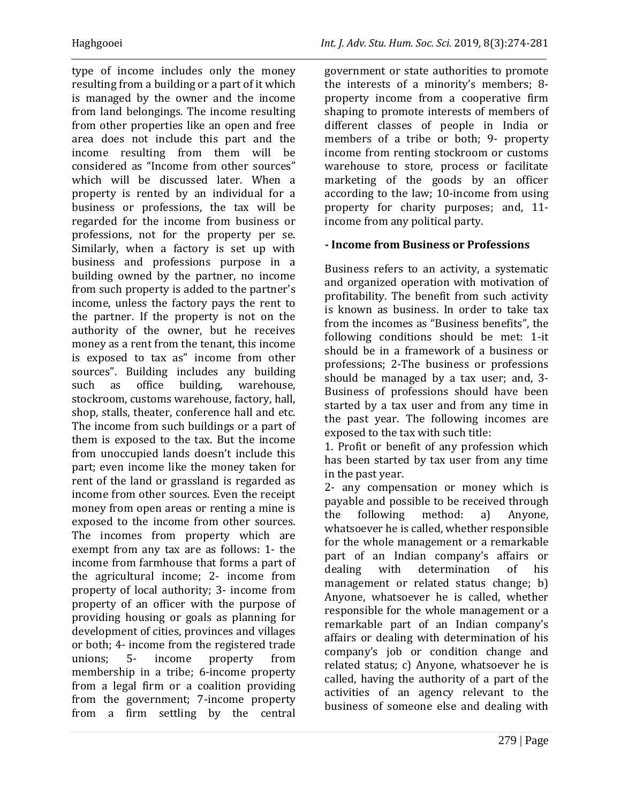type of income includes only the money resulting from a building or a part of it which is managed by the owner and the income from land belongings. The income resulting from other properties like an open and free area does not include this part and the income resulting from them will be considered as "Income from other sources" which will be discussed later. When a property is rented by an individual for a business or professions, the tax will be regarded for the income from business or professions, not for the property per se. Similarly, when a factory is set up with business and professions purpose in a building owned by the partner, no income from such property is added to the partner's income, unless the factory pays the rent to the partner. If the property is not on the authority of the owner, but he receives money as a rent from the tenant, this income is exposed to tax as" income from other sources". Building includes any building such as office building, warehouse, stockroom, customs warehouse, factory, hall, shop, stalls, theater, conference hall and etc. The income from such buildings or a part of them is exposed to the tax. But the income from unoccupied lands doesn't include this part; even income like the money taken for rent of the land or grassland is regarded as income from other sources. Even the receipt money from open areas or renting a mine is exposed to the income from other sources. The incomes from property which are exempt from any tax are as follows: 1- the income from farmhouse that forms a part of the agricultural income; 2- income from property of local authority; 3- income from property of an officer with the purpose of providing housing or goals as planning for development of cities, provinces and villages or both; 4- income from the registered trade unions; 5- income property from membership in a tribe; 6-income property from a legal firm or a coalition providing from the government; 7-income property from a firm settling by the central

government or state authorities to promote the interests of a minority's members; 8 property income from a cooperative firm shaping to promote interests of members of different classes of people in India or members of a tribe or both; 9- property income from renting stockroom or customs warehouse to store, process or facilitate marketing of the goods by an officer according to the law; 10-income from using property for charity purposes; and, 11 income from any political party.

#### **- Income from Business or Professions**

Business refers to an activity, a systematic and organized operation with motivation of profitability. The benefit from such activity is known as business. In order to take tax from the incomes as "Business benefits", the following conditions should be met: 1-it should be in a framework of a business or professions; 2-The business or professions should be managed by a tax user; and, 3- Business of professions should have been started by a tax user and from any time in the past year. The following incomes are exposed to the tax with such title:

1. Profit or benefit of any profession which has been started by tax user from any time in the past year.

2- any compensation or money which is payable and possible to be received through the following method: a) Anyone, whatsoever he is called, whether responsible for the whole management or a remarkable part of an Indian company's affairs or dealing with determination of his management or related status change; b) Anyone, whatsoever he is called, whether responsible for the whole management or a remarkable part of an Indian company's affairs or dealing with determination of his company's job or condition change and related status; c) Anyone, whatsoever he is called, having the authority of a part of the activities of an agency relevant to the business of someone else and dealing with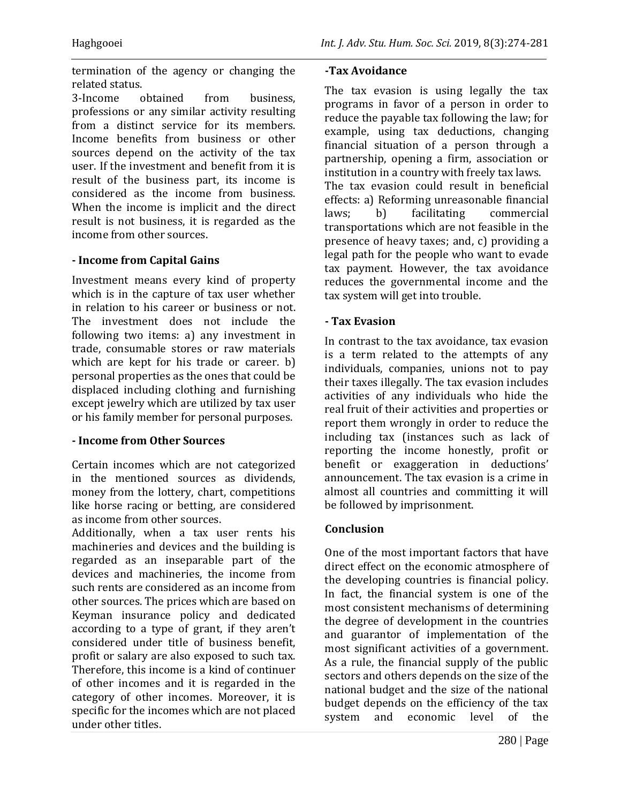termination of the agency or changing the related status.

3-Income obtained from business, professions or any similar activity resulting from a distinct service for its members. Income benefits from business or other sources depend on the activity of the tax user. If the investment and benefit from it is result of the business part, its income is considered as the income from business. When the income is implicit and the direct result is not business, it is regarded as the income from other sources.

#### **- Income from Capital Gains**

Investment means every kind of property which is in the capture of tax user whether in relation to his career or business or not. The investment does not include the following two items: a) any investment in trade, consumable stores or raw materials which are kept for his trade or career. b) personal properties as the ones that could be displaced including clothing and furnishing except jewelry which are utilized by tax user or his family member for personal purposes.

#### **- Income from Other Sources**

Certain incomes which are not categorized in the mentioned sources as dividends, money from the lottery, chart, competitions like horse racing or betting, are considered as income from other sources.

Additionally, when a tax user rents his machineries and devices and the building is regarded as an inseparable part of the devices and machineries, the income from such rents are considered as an income from other sources. The prices which are based on Keyman insurance policy and dedicated according to a type of grant, if they aren't considered under title of business benefit, profit or salary are also exposed to such tax. Therefore, this income is a kind of continuer of other incomes and it is regarded in the category of other incomes. Moreover, it is specific for the incomes which are not placed under other titles.

#### **-Tax Avoidance**

The tax evasion is using legally the tax programs in favor of a person in order to reduce the payable tax following the law; for example, using tax deductions, changing financial situation of a person through a partnership, opening a firm, association or institution in a country with freely tax laws. The tax evasion could result in beneficial effects: a) Reforming unreasonable financial laws; b) facilitating commercial transportations which are not feasible in the presence of heavy taxes; and, c) providing a legal path for the people who want to evade tax payment. However, the tax avoidance reduces the governmental income and the tax system will get into trouble.

#### **- Tax Evasion**

In contrast to the tax avoidance, tax evasion is a term related to the attempts of any individuals, companies, unions not to pay their taxes illegally. The tax evasion includes activities of any individuals who hide the real fruit of their activities and properties or report them wrongly in order to reduce the including tax (instances such as lack of reporting the income honestly, profit or benefit or exaggeration in deductions' announcement. The tax evasion is a crime in almost all countries and committing it will be followed by imprisonment.

#### **Conclusion**

One of the most important factors that have direct effect on the economic atmosphere of the developing countries is financial policy. In fact, the financial system is one of the most consistent mechanisms of determining the degree of development in the countries and guarantor of implementation of the most significant activities of a government. As a rule, the financial supply of the public sectors and others depends on the size of the national budget and the size of the national budget depends on the efficiency of the tax system and economic level of the